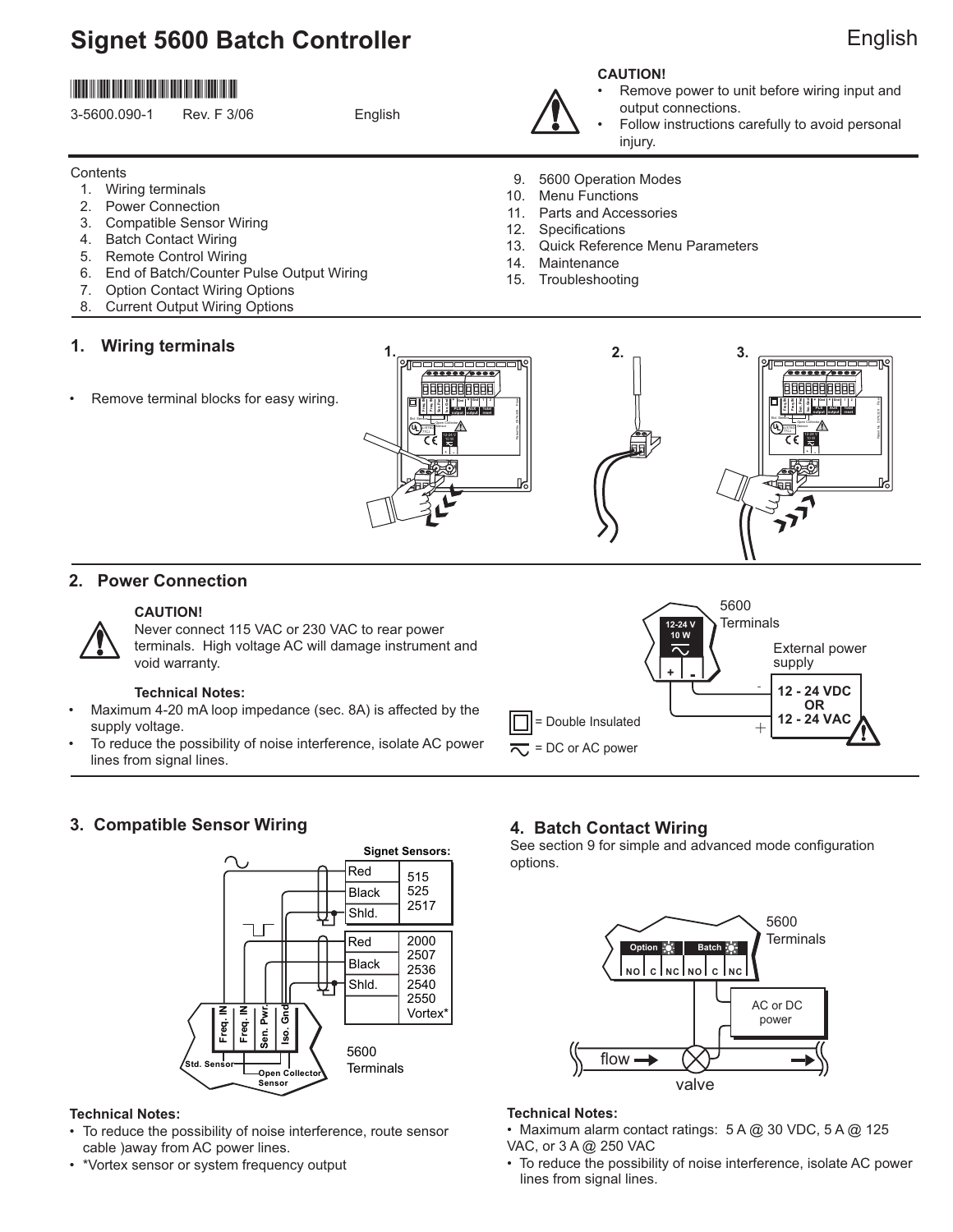# **Signet 5600 Batch Controller**

## \*3-5600.090-1\*

| 3-5600.090-1 | Rev. F 3/06 | English |
|--------------|-------------|---------|
|              |             |         |
|              |             |         |

#### **Contents**

- 1. Wiring terminals
- 2. Power Connection
- 3. Compatible Sensor Wiring
- 4. Batch Contact Wiring
- 5. Remote Control Wiring
- 6. End of Batch/Counter Pulse Output Wiring
- 7. Option Contact Wiring Options
- 8. Current Output Wiring Options

### **1. Wiring terminals**

Remove terminal blocks for easy wiring.





- Remove power to unit before wiring input and output connections.
- Follow instructions carefully to avoid personal injury.
- 9. 5600 Operation Modes
- 10. Menu Functions
- 11. Parts and Accessories
- 12. Specifications
- 13. Quick Reference Menu Parameters
- 14. Maintenance
- 15. Troubleshooting



### **2. Power Connection**



#### **CAUTION!**

Never connect 115 VAC or 230 VAC to rear power terminals. High voltage AC will damage instrument and void warranty.

#### **Technical Notes:**

- Maximum 4-20 mA loop impedance (sec. 8A) is affected by the supply voltage.
- To reduce the possibility of noise interference, isolate AC power lines from signal lines.



### **3. Compatible Sensor Wiring**



### **Technical Notes:**

- To reduce the possibility of noise interference, route sensor cable )away from AC power lines.
- \*Vortex sensor or system frequency output

### **4. Batch Contact Wiring**

See section 9 for simple and advanced mode configuration options.



### **Technical Notes:**

- Maximum alarm contact ratings: 5 A @ 30 VDC, 5 A @ 125 VAC, or 3 A @ 250 VAC
- To reduce the possibility of noise interference, isolate AC power lines from signal lines.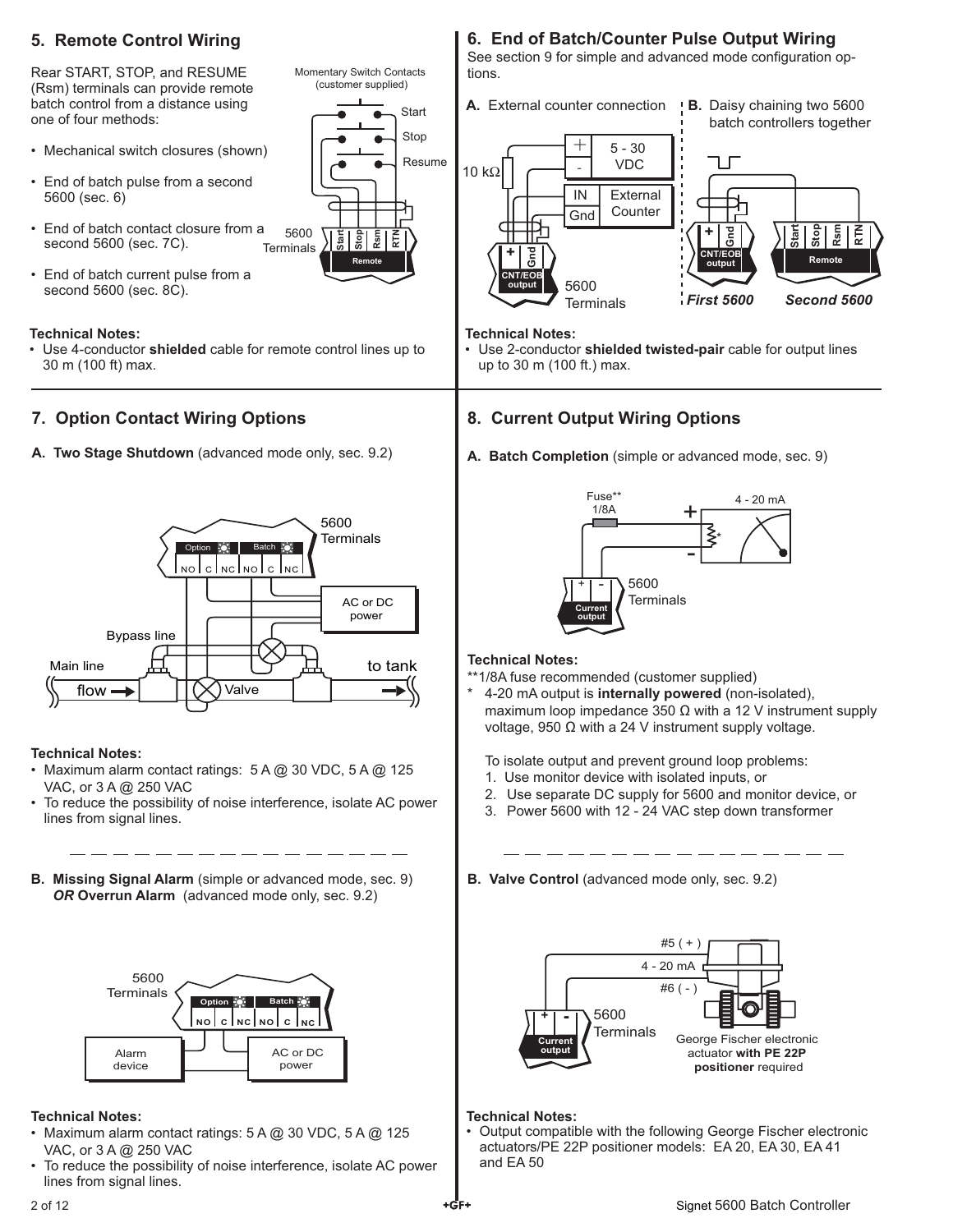### **5. Remote Control Wiring**

Rear START, STOP, and RESUME (Rsm) terminals can provide remote batch control from a distance using one of four methods:

- Mechanical switch closures (shown)
- End of batch pulse from a second 5600 (sec. 6)
- 5600 **Terminals** • End of batch contact closure from a second 5600 (sec. 7C).
- End of batch current pulse from a second 5600 (sec. 8C).

#### **Technical Notes:**

• Use 4-conductor **shielded** cable for remote control lines up to 30 m (100 ft) max.

### **7. Option Contact Wiring Options**

**A. Two Stage Shutdown** (advanced mode only, sec. 9.2)



### **Technical Notes:**

- Maximum alarm contact ratings:  $5A$   $@$  30 VDC,  $5A$   $@$  125 VAC, or 3 A @ 250 VAC
- To reduce the possibility of noise interference, isolate AC power lines from signal lines.
- **B. Missing Signal Alarm** (simple or advanced mode, sec. 9) *OR* **Overrun Alarm** (advanced mode only, sec. 9.2)



### **Technical Notes:**

- Maximum alarm contact ratings: 5 A @ 30 VDC, 5 A @ 125 VAC, or 3 A @ 250 VAC
- To reduce the possibility of noise interference, isolate AC power lines from signal lines.

### **6. End of Batch/Counter Pulse Output Wiring**

See section 9 for simple and advanced mode configuration options.



#### **Technical Notes:**

**Start** Stop Resume

**Start Stop Rsm RTN**

**Remote**

Momentary Switch Contacts (customer supplied)

> • Use 2-conductor **shielded twisted-pair** cable for output lines up to 30 m (100 ft.) max.

### **8. Current Output Wiring Options**

**A. Batch Completion** (simple or advanced mode, sec. 9)



### **Technical Notes:**

- \*\*1/8A fuse recommended (customer supplied)
- \* 4-20 mA output is **internally powered** (non-isolated), maximum loop impedance 350  $\Omega$  with a 12 V instrument supply voltage, 950 Ω with a 24 V instrument supply voltage.

To isolate output and prevent ground loop problems:

- 1. Use monitor device with isolated inputs, or
- 2. Use separate DC supply for 5600 and monitor device, or
- 3. Power 5600 with 12 24 VAC step down transformer

**B. Valve Control** (advanced mode only, sec. 9.2)



#### **Technical Notes:**

• Output compatible with the following George Fischer electronic actuators/PE 22P positioner models: EA 20, EA 30, EA 41 and EA 50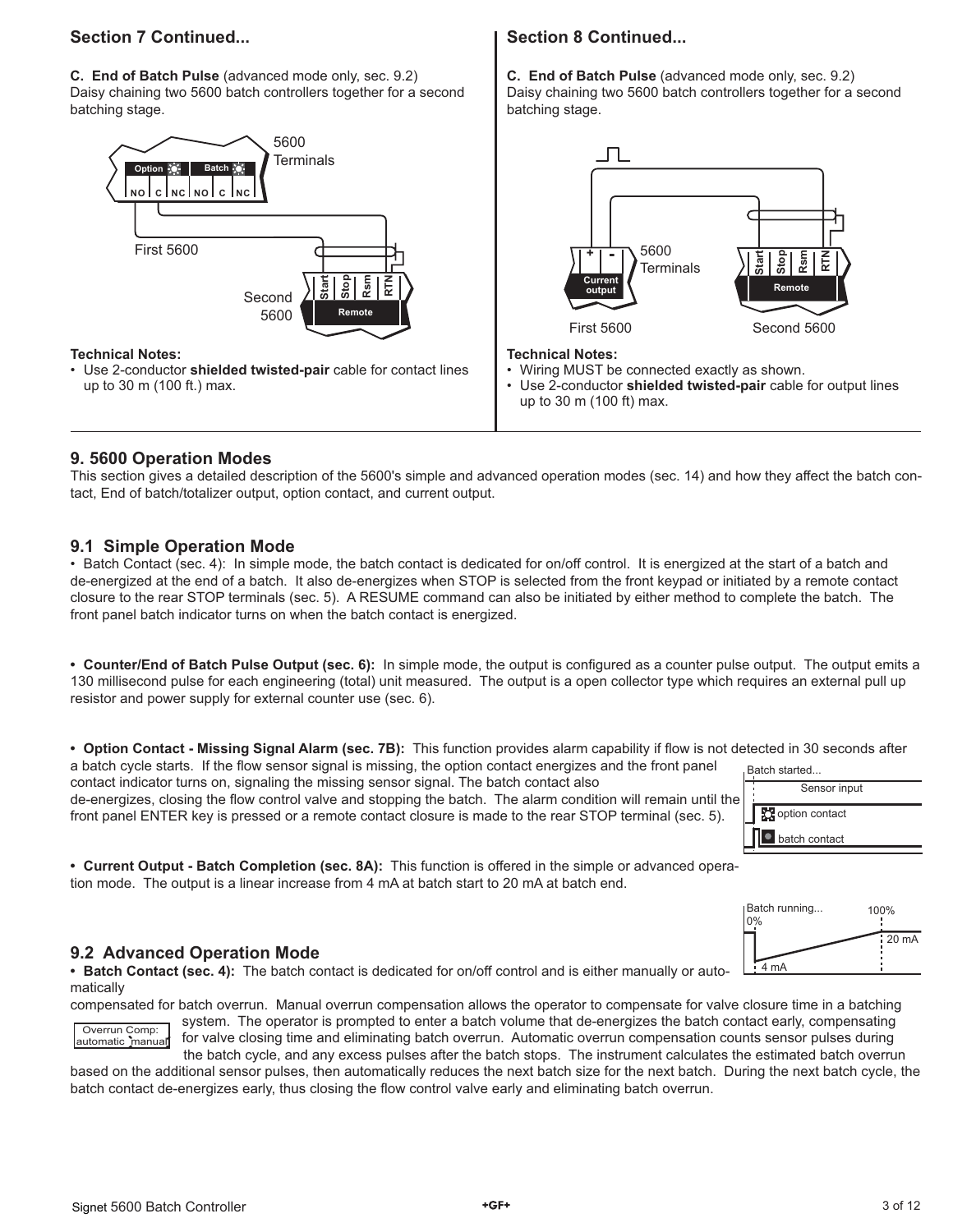### **Section 7 Continued...**

**C. End of Batch Pulse** (advanced mode only, sec. 9.2) Daisy chaining two 5600 batch controllers together for a second batching stage.



### **Technical Notes:**

• Use 2-conductor **shielded twisted-pair** cable for contact lines up to 30 m (100 ft.) max.

### **Section 8 Continued...**

**C. End of Batch Pulse** (advanced mode only, sec. 9.2) Daisy chaining two 5600 batch controllers together for a second batching stage.



#### **Technical Notes:**

- Wiring MUST be connected exactly as shown.
- Use 2-conductor **shielded twisted-pair** cable for output lines up to 30 m (100 ft) max.

### **9. 5600 Operation Modes**

This section gives a detailed description of the 5600's simple and advanced operation modes (sec. 14) and how they affect the batch contact, End of batch/totalizer output, option contact, and current output.

### **9.1 Simple Operation Mode**

• Batch Contact (sec. 4): In simple mode, the batch contact is dedicated for on/off control. It is energized at the start of a batch and de-energized at the end of a batch. It also de-energizes when STOP is selected from the front keypad or initiated by a remote contact closure to the rear STOP terminals (sec. 5). A RESUME command can also be initiated by either method to complete the batch. The front panel batch indicator turns on when the batch contact is energized.

• Counter/End of Batch Pulse Output (sec. 6): In simple mode, the output is configured as a counter pulse output. The output emits a 130 millisecond pulse for each engineering (total) unit measured. The output is a open collector type which requires an external pull up resistor and power supply for external counter use (sec. 6).

• Option Contact - Missing Signal Alarm (sec. 7B): This function provides alarm capability if flow is not detected in 30 seconds after a batch cycle starts. If the flow sensor signal is missing, the option contact energizes and the front panel

contact indicator turns on, signaling the missing sensor signal. The batch contact also de-energizes, closing the flow control valve and stopping the batch. The alarm condition will remain until the

| Batch started |
|---------------|
|               |



**• Current Output - Batch Completion (sec. 8A):** This function is offered in the simple or advanced operation mode. The output is a linear increase from 4 mA at batch start to 20 mA at batch end.

front panel ENTER key is pressed or a remote contact closure is made to the rear STOP terminal (sec. 5).



### **9.2 Advanced Operation Mode**

**• Batch Contact (sec. 4):** The batch contact is dedicated for on/off control and is either manually or automatically

compensated for batch overrun. Manual overrun compensation allows the operator to compensate for valve closure time in a batching

#### Overrun Comp: automatic manual

system. The operator is prompted to enter a batch volume that de-energizes the batch contact early, compensating for valve closing time and eliminating batch overrun. Automatic overrun compensation counts sensor pulses during the batch cycle, and any excess pulses after the batch stops. The instrument calculates the estimated batch overrun

based on the additional sensor pulses, then automatically reduces the next batch size for the next batch. During the next batch cycle, the batch contact de-energizes early, thus closing the flow control valve early and eliminating batch overrun.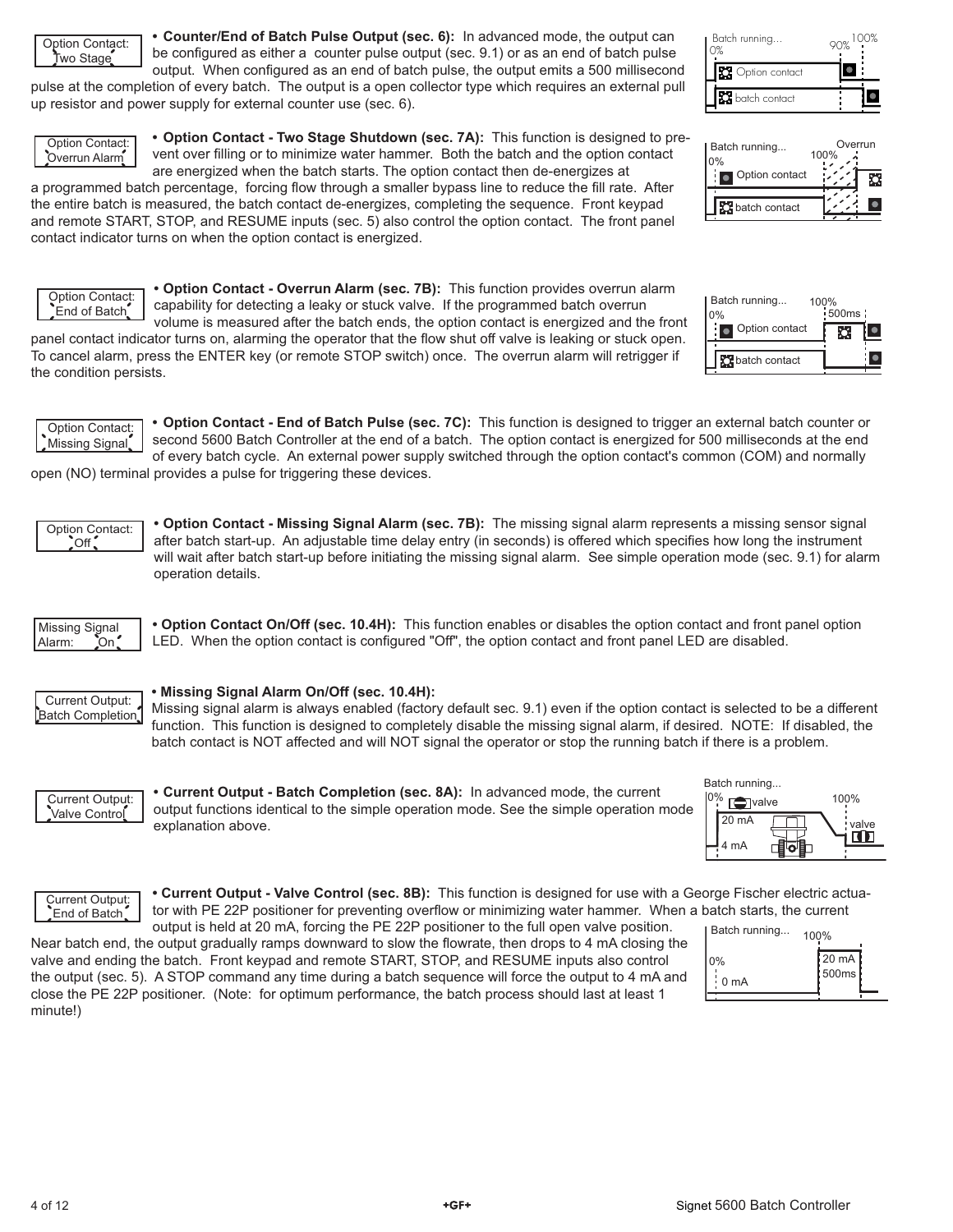Option Contact: Two Stage

**• Counter/End of Batch Pulse Output (sec. 6):** In advanced mode, the output can be configured as either a counter pulse output (sec. 9.1) or as an end of batch pulse output. When configured as an end of batch pulse, the output emits a 500 millisecond

pulse at the completion of every batch. The output is a open collector type which requires an external pull up resistor and power supply for external counter use (sec. 6).



 Option Contact: End of Batch

**• Option Contact - Two Stage Shutdown (sec. 7A):** This function is designed to prevent over filling or to minimize water hammer. Both the batch and the option contact are energized when the batch starts. The option contact then de-energizes at

a programmed batch percentage, forcing flow through a smaller bypass line to reduce the fill rate. After the entire batch is measured, the batch contact de-energizes, completing the sequence. Front keypad and remote START, STOP, and RESUME inputs (sec. 5) also control the option contact. The front panel contact indicator turns on when the option contact is energized.

**• Option Contact - Overrun Alarm (sec. 7B):** This function provides overrun alarm

capability for detecting a leaky or stuck valve. If the programmed batch overrun

volume is measured after the batch ends, the option contact is energized and the front panel contact indicator turns on, alarming the operator that the flow shut off valve is leaking or stuck open. To cancel alarm, press the ENTER key (or remote STOP switch) once. The overrun alarm will retrigger if the condition persists.

**• Option Contact - End of Batch Pulse (sec. 7C):** This function is designed to trigger an external batch counter or Option Contact:

second 5600 Batch Controller at the end of a batch. The option contact is energized for 500 milliseconds at the end of every batch cycle. An external power supply switched through the option contact's common (COM) and normally Missing Signal

open (NO) terminal provides a pulse for triggering these devices.

**• Option Contact - Missing Signal Alarm (sec. 7B):** The missing signal alarm represents a missing sensor signal after batch start-up. An adjustable time delay entry (in seconds) is offered which specifies how long the instrument will wait after batch start-up before initiating the missing signal alarm. See simple operation mode (sec. 9.1) for alarm operation details.



 Option Contact: **Off** 

> **• Option Contact On/Off (sec. 10.4H):** This function enables or disables the option contact and front panel option LED. When the option contact is configured "Off", the option contact and front panel LED are disabled.



#### **• Missing Signal Alarm On/Off (sec. 10.4H):**

Missing signal alarm is always enabled (factory default sec. 9.1) even if the option contact is selected to be a different function. This function is designed to completely disable the missing signal alarm, if desired. NOTE: If disabled, the batch contact is NOT affected and will NOT signal the operator or stop the running batch if there is a problem.



**• Current Output - Batch Completion (sec. 8A):** In advanced mode, the current output functions identical to the simple operation mode. See the simple operation mode explanation above.



 Current Output: End of Batch

**• Current Output - Valve Control (sec. 8B):** This function is designed for use with a George Fischer electric actuator with PE 22P positioner for preventing overflow or minimizing water hammer. When a batch starts, the current

output is held at 20 mA, forcing the PE 22P positioner to the full open valve position. Near batch end, the output gradually ramps downward to slow the flowrate, then drops to 4 mA closing the valve and ending the batch. Front keypad and remote START, STOP, and RESUME inputs also control the output (sec. 5). A STOP command any time during a batch sequence will force the output to 4 mA and close the PE 22P positioner. (Note: for optimum performance, the batch process should last at least 1 minute!)







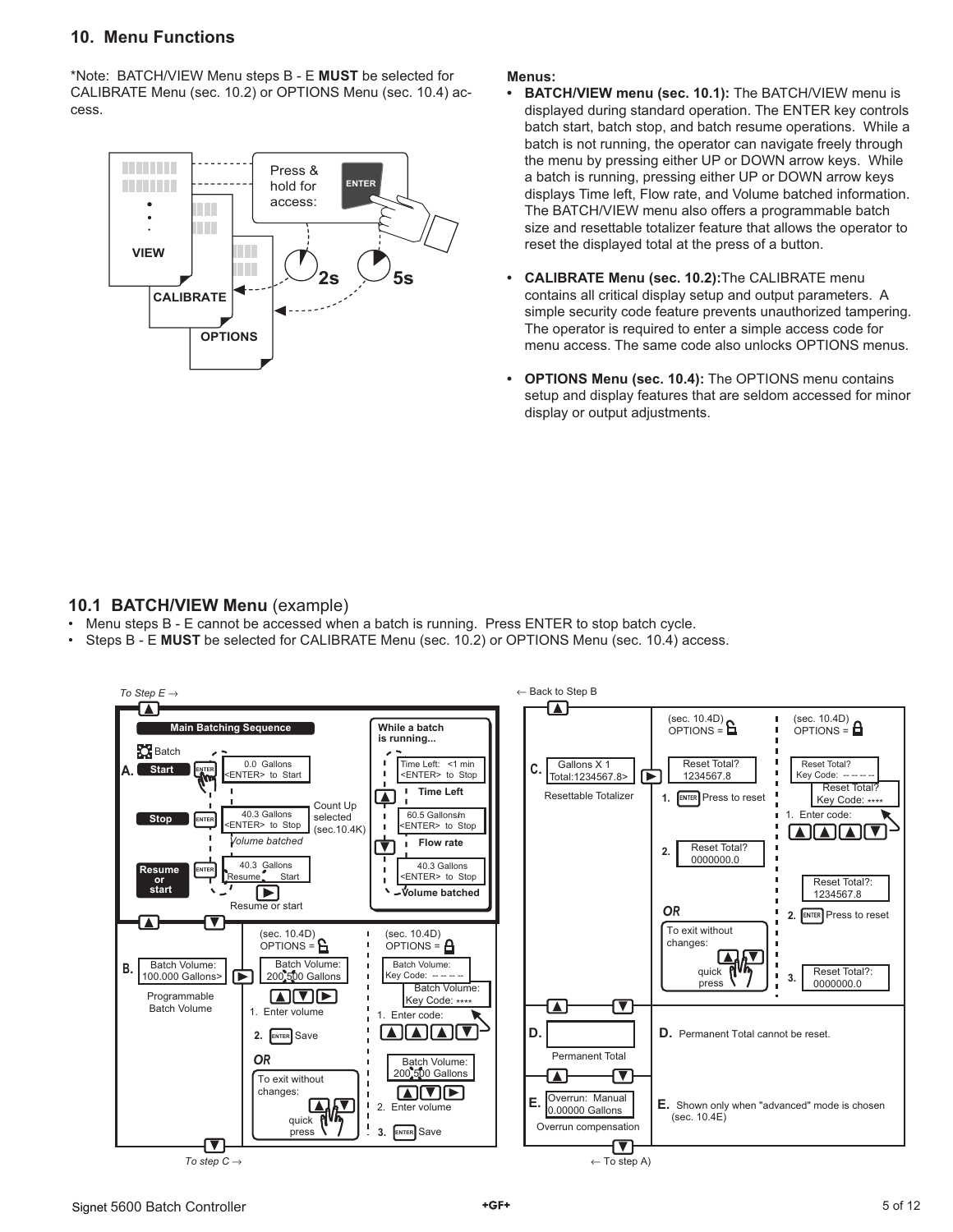### **10. Menu Functions**

\*Note: BATCH/VIEW Menu steps B - E **MUST** be selected for CALIBRATE Menu (sec. 10.2) or OPTIONS Menu (sec. 10.4) access.



#### **Menus:**

- **BATCH/VIEW menu (sec. 10.1):** The BATCH/VIEW menu is displayed during standard operation. The ENTER key controls batch start, batch stop, and batch resume operations. While a batch is not running, the operator can navigate freely through the menu by pressing either UP or DOWN arrow keys. While a batch is running, pressing either UP or DOWN arrow keys displays Time left, Flow rate, and Volume batched information. The BATCH/VIEW menu also offers a programmable batch size and resettable totalizer feature that allows the operator to reset the displayed total at the press of a button.
- **CALIBRATE Menu (sec. 10.2):**The CALIBRATE menu contains all critical display setup and output parameters. A simple security code feature prevents unauthorized tampering. The operator is required to enter a simple access code for menu access. The same code also unlocks OPTIONS menus.
- **OPTIONS Menu (sec. 10.4):** The OPTIONS menu contains setup and display features that are seldom accessed for minor display or output adjustments.

### **10.1 BATCH/VIEW Menu** (example)

- Menu steps B E cannot be accessed when a batch is running. Press ENTER to stop batch cycle.
- Steps B E **MUST** be selected for CALIBRATE Menu (sec. 10.2) or OPTIONS Menu (sec. 10.4) access.

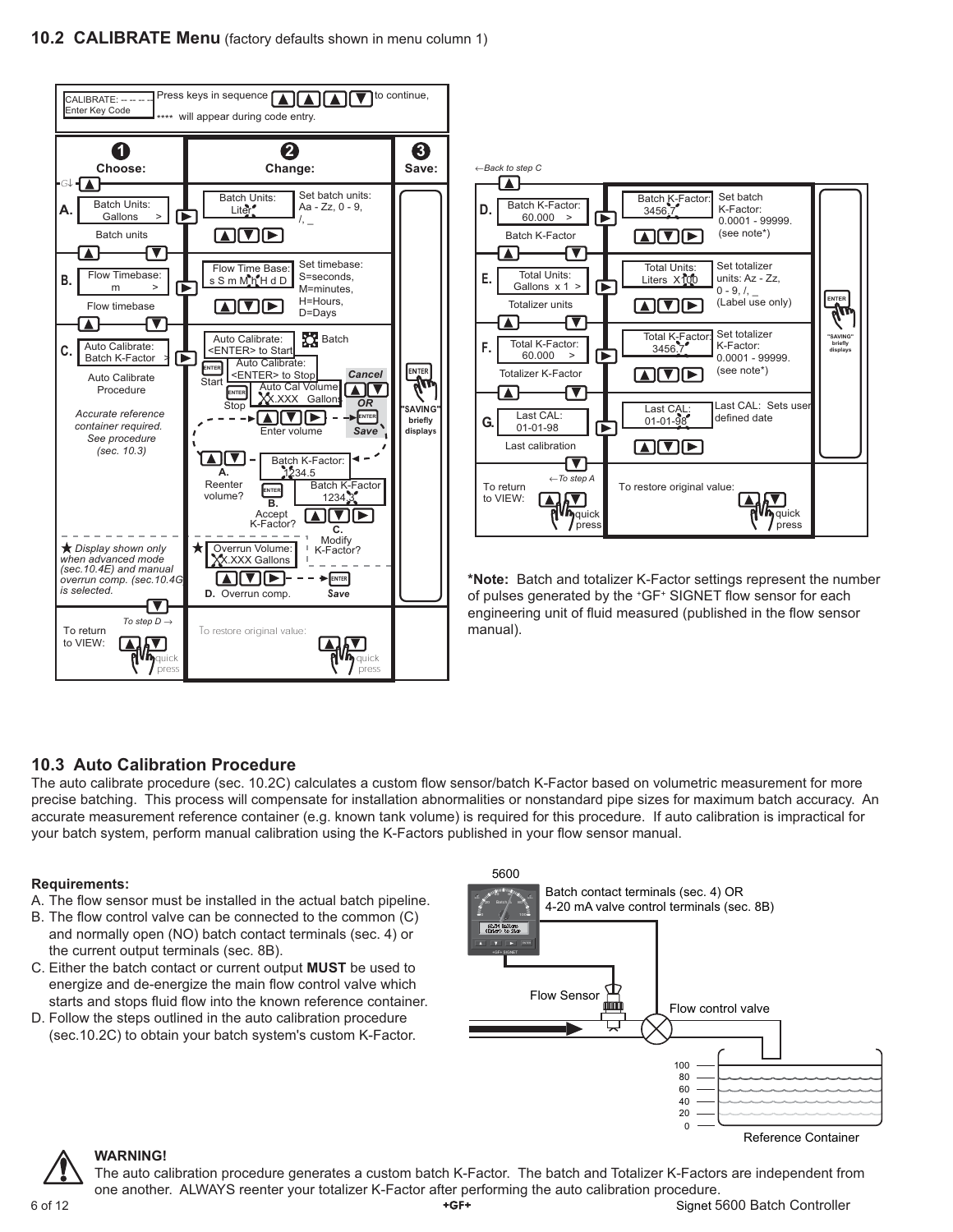

### **10.3 Auto Calibration Procedure**

The auto calibrate procedure (sec. 10.2C) calculates a custom flow sensor/batch K-Factor based on volumetric measurement for more precise batching. This process will compensate for installation abnormalities or nonstandard pipe sizes for maximum batch accuracy. An accurate measurement reference container (e.g. known tank volume) is required for this procedure. If auto calibration is impractical for your batch system, perform manual calibration using the K-Factors published in your flow sensor manual.

### **Requirements:**

- A. The flow sensor must be installed in the actual batch pipeline.
- B. The flow control valve can be connected to the common (C) and normally open (NO) batch contact terminals (sec. 4) or the current output terminals (sec. 8B).
- C. Either the batch contact or current output **MUST** be used to energize and de-energize the main flow control valve which starts and stops fluid flow into the known reference container.
- D. Follow the steps outlined in the auto calibration procedure (sec.10.2C) to obtain your batch system's custom K-Factor.



Reference Container



#### **WARNING!**

6 of 12 Signet 5600 Batch Controller The auto calibration procedure generates a custom batch K-Factor. The batch and Totalizer K-Factors are independent from one another. ALWAYS reenter your totalizer K-Factor after performing the auto calibration procedure.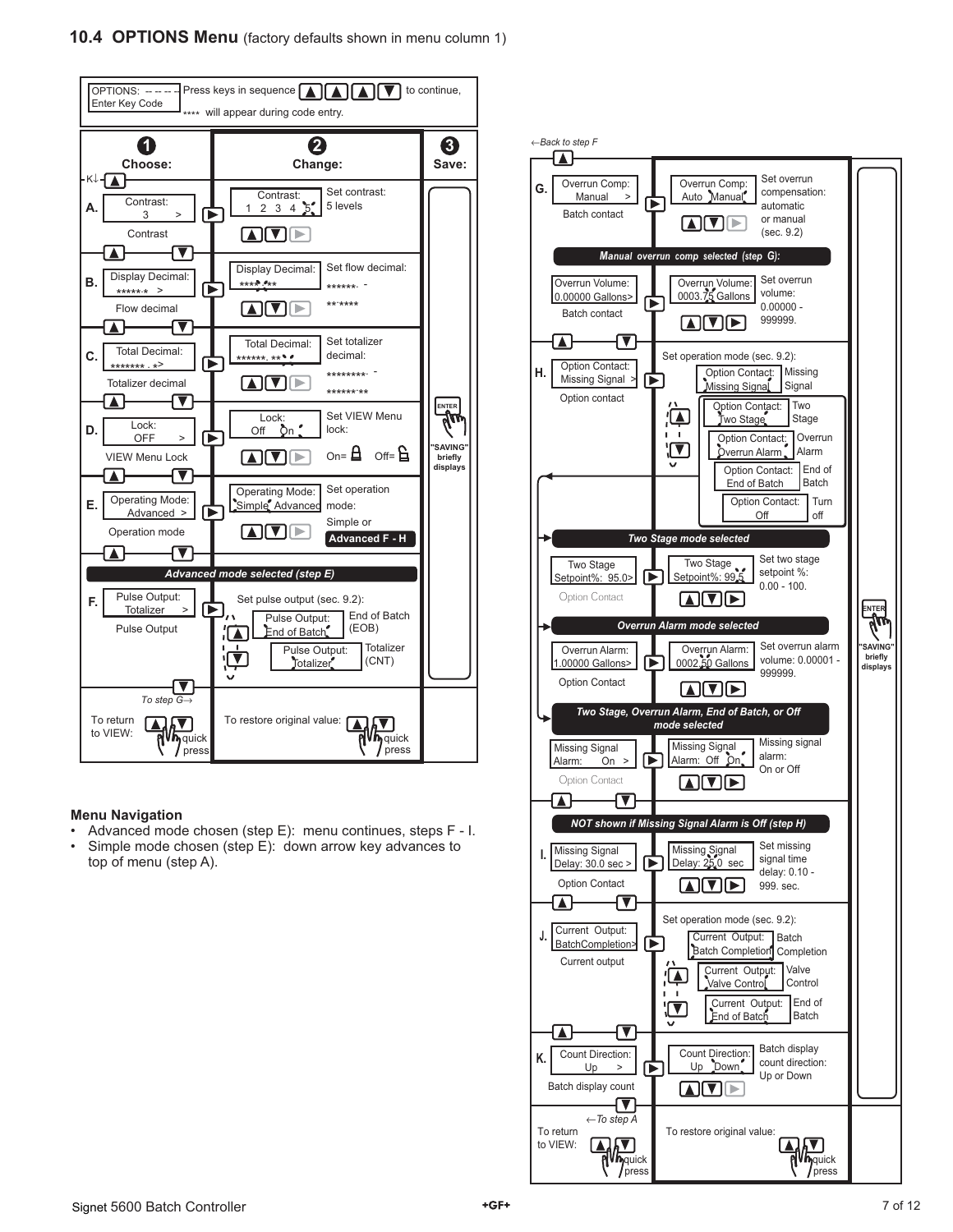

#### **Menu Navigation**

- Advanced mode chosen (step E): menu continues, steps F I.
- Simple mode chosen (step E): down arrow key advances to top of menu (step A).

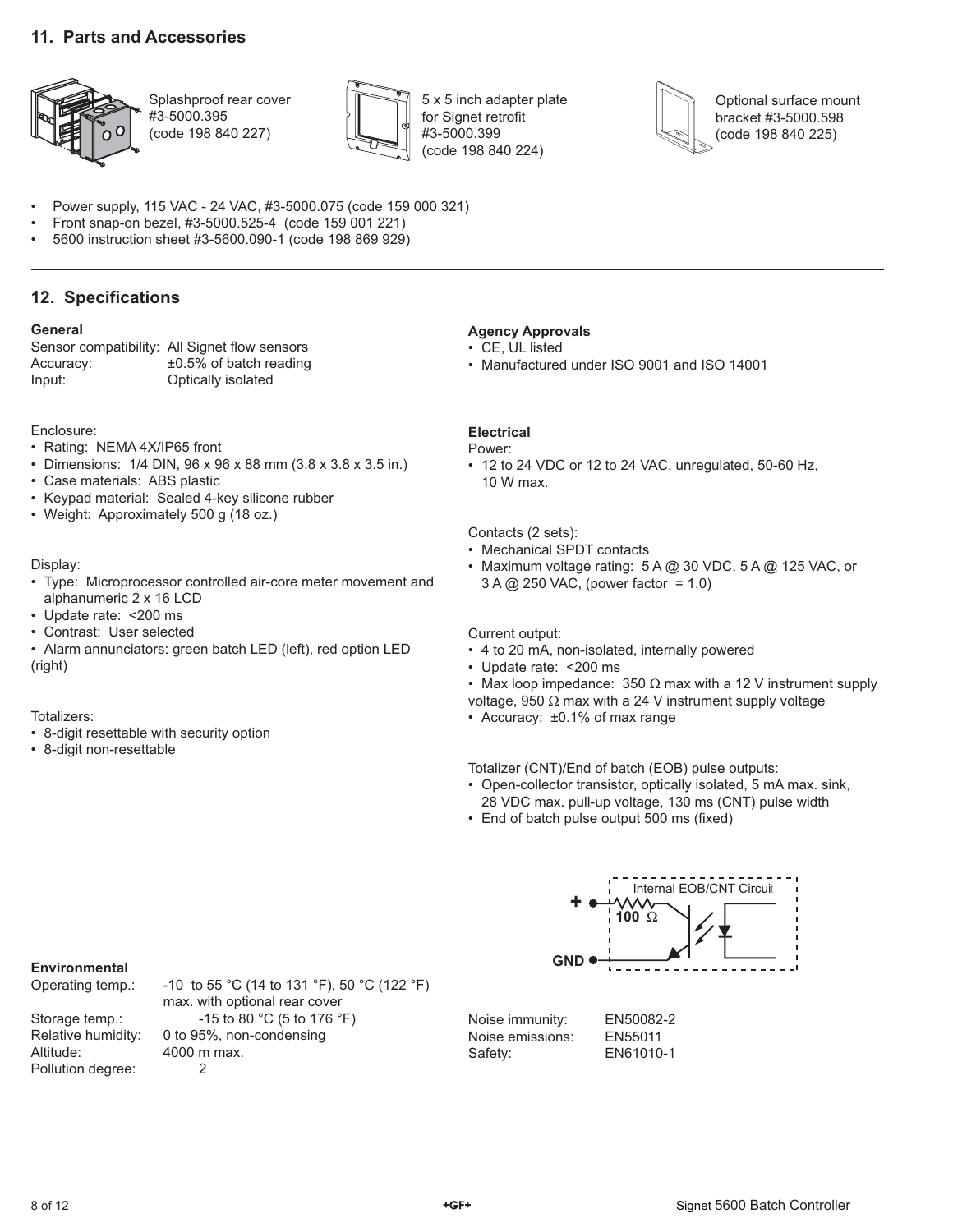### **11. Parts and Accessories**



Splashproof rear cover #3-5000.395 (code 198 840 227)



5 x 5 inch adapter plate for Signet retrofit #3-5000.399 (code 198 840 224)



Optional surface mount bracket #3-5000.598 (code 198 840 225)

• Power supply, 115 VAC - 24 VAC, #3-5000.075 (code 159 000 321)

- Front snap-on bezel, #3-5000.525-4 (code 159 001 221)
- 5600 instruction sheet #3-5600.090-1 (code 198 869 929)

### **12. Specifications**

#### **General**

Sensor compatibility: All Signet flow sensors Accuracy: ±0.5% of batch reading Input: Optically isolated

#### Enclosure:

- Rating: NEMA 4X/IP65 front
- Dimensions: 1/4 DIN, 96 x 96 x 88 mm (3.8 x 3.8 x 3.5 in.)
- Case materials: ABS plastic
- Keypad material: Sealed 4-key silicone rubber
- Weight: Approximately 500 g (18 oz.)

#### Display:

- Type: Microprocessor controlled air-core meter movement and alphanumeric 2 x 16 LCD
- Update rate: <200 ms
- Contrast: User selected
- Alarm annunciators: green batch LED (left), red option LED (right)

#### Totalizers:

- 8-digit resettable with security option
- 8-digit non-resettable

### **Agency Approvals**

- CE, UL listed
- Manufactured under ISO 9001 and ISO 14001

### **Electrical**

#### Power:

• 12 to 24 VDC or 12 to 24 VAC, unregulated, 50-60 Hz, 10 W max.

#### Contacts (2 sets):

- Mechanical SPDT contacts
- Maximum voltage rating: 5 A @ 30 VDC, 5 A @ 125 VAC, or 3 A @ 250 VAC, (power factor = 1.0)

#### Current output:

- 4 to 20 mA, non-isolated, internally powered
- Update rate: <200 ms
- Max loop impedance:  $350 \Omega$  max with a 12 V instrument supply
- voltage, 950 Ω max with a 24 V instrument supply voltage
- Accuracy: ±0.1% of max range

Totalizer (CNT)/End of batch (EOB) pulse outputs:

- Open-collector transistor, optically isolated, 5 mA max. sink, 28 VDC max. pull-up voltage, 130 ms (CNT) pulse width
- End of batch pulse output 500 ms (fixed)

### **Environmental**

| -10 to 55 °C (14 to 131 °F), 50 °C (122 °F) |
|---------------------------------------------|
| max. with optional rear cover               |
| $-15$ to 80 °C (5 to 176 °F)                |
| 0 to 95%, non-condensing                    |
| 4000 m max.                                 |
|                                             |
|                                             |

**100** Ω **GND +** Internal EOB/CNT Circuit

| Noise immunity:  | EN50082-2 |
|------------------|-----------|
| Noise emissions: | EN55011   |
| Safety:          | EN61010-1 |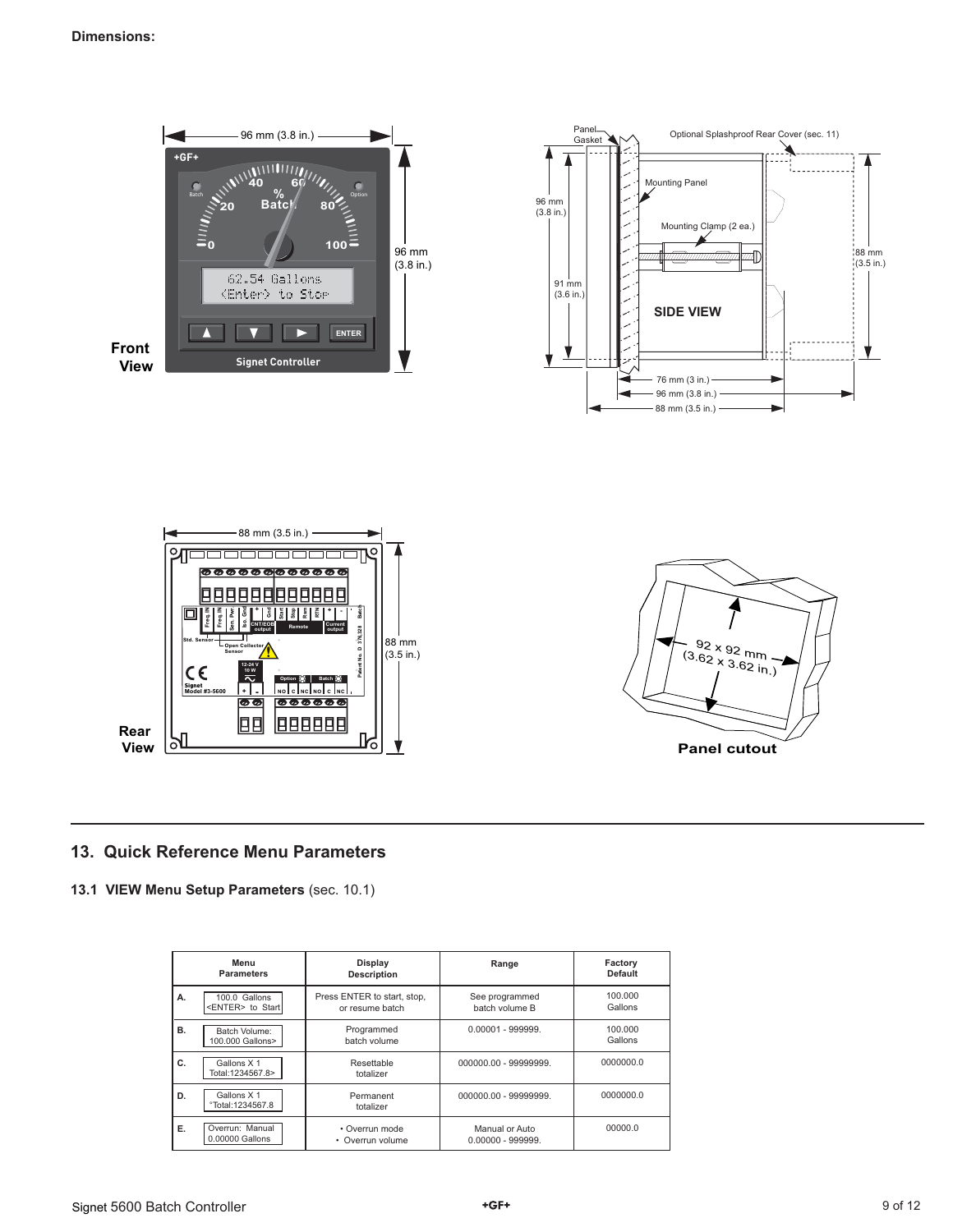







### **13. Quick Reference Menu Parameters**

**13.1 VIEW Menu Setup Parameters** (sec. 10.1)

|    | Menu<br><b>Parameters</b>                 | Display<br><b>Description</b>                  | Range                                 | Factory<br><b>Default</b> |
|----|-------------------------------------------|------------------------------------------------|---------------------------------------|---------------------------|
| А. | 100.0 Gallons<br><enter> to Start</enter> | Press ENTER to start, stop,<br>or resume batch | See programmed<br>batch volume B      | 100.000<br>Gallons        |
| в. | Batch Volume:<br>100,000 Gallons>         | Programmed<br>batch volume                     | $0.00001 - 999999.$                   | 100.000<br>Gallons        |
| C. | Gallons X 1<br>Total:1234567.8>           | Resettable<br>totalizer                        | 000000.00 - 99999999.                 | 0000000.0                 |
| D. | Gallons X 1<br>°Total:1234567.8           | Permanent<br>totalizer                         | 000000.00 - 99999999.                 | 0000000.0                 |
| Ε. | Overrun: Manual<br>0.00000 Gallons        | • Overrun mode<br>• Overrun volume             | Manual or Auto<br>$0.00000 - 999999.$ | 00000.0                   |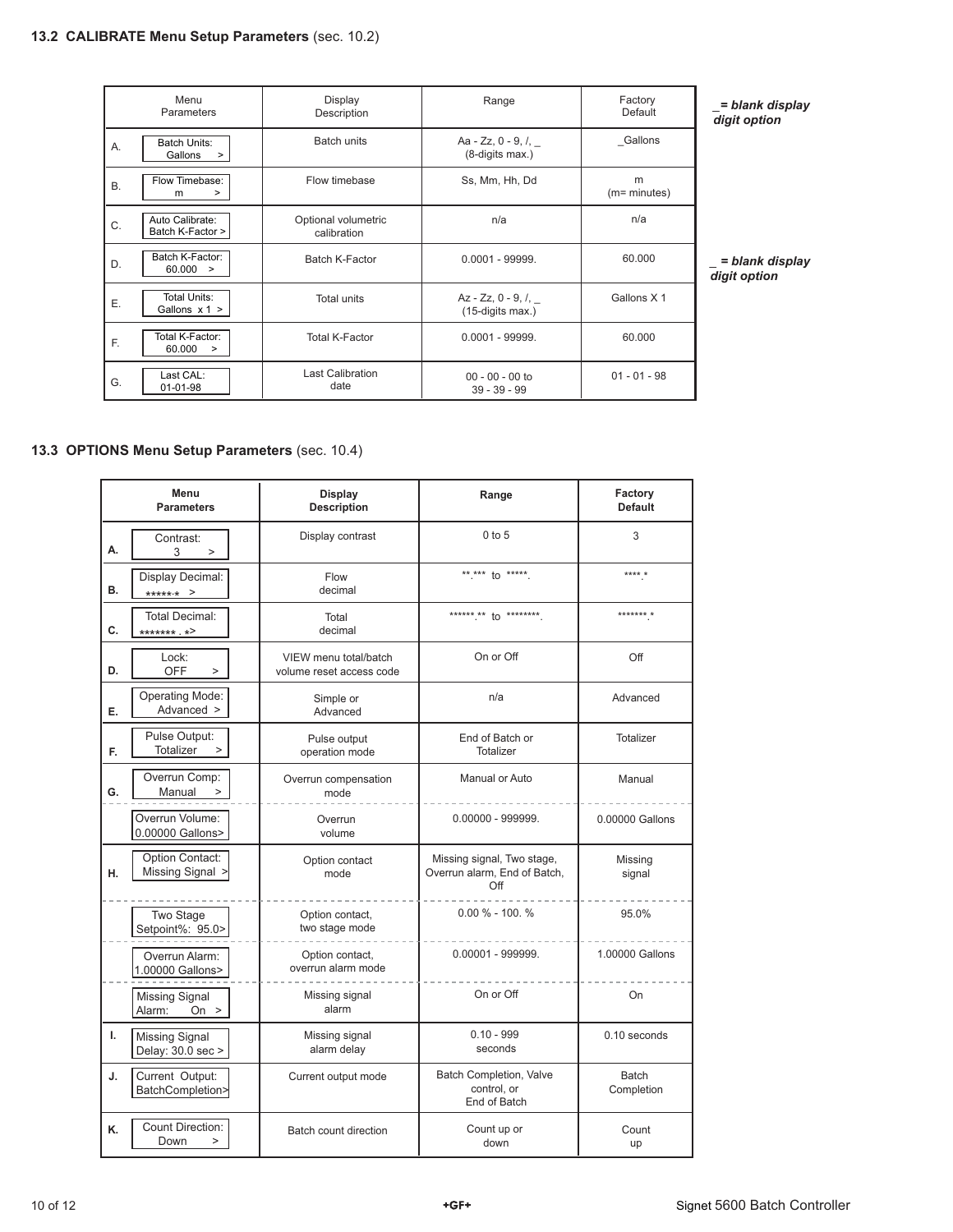|           | Menu<br>Parameters                       | Display<br>Description             | Range                                              | Factory<br>Default | di                |
|-----------|------------------------------------------|------------------------------------|----------------------------------------------------|--------------------|-------------------|
| Α.        | <b>Batch Units:</b><br>Gallons<br>$\geq$ | <b>Batch units</b>                 | Aa - Zz, 0 - 9, $\ell$ , $\ell$<br>(8-digits max.) | Gallons            |                   |
| <b>B.</b> | Flow Timebase:<br>><br>m                 | Flow timebase                      | Ss, Mm, Hh, Dd                                     | m<br>(m= minutes)  |                   |
| C.        | Auto Calibrate:<br>Batch K-Factor >      | Optional volumetric<br>calibration | n/a                                                | n/a                |                   |
| D.        | Batch K-Factor:<br>60.000 >              | Batch K-Factor                     | $0.0001 - 99999.$                                  | 60.000             | $\overline{d}$ ig |
| Ε.        | Total Units:<br>Gallons $x 1$ >          | <b>Total units</b>                 | $Az - ZZ, 0 - 9, /$<br>(15-digits max.)            | Gallons X 1        |                   |
| F.        | Total K-Factor:<br>60.000<br>>           | <b>Total K-Factor</b>              | $0.0001 - 99999.$                                  | 60.000             |                   |
| G.        | Last CAL:<br>01-01-98                    | <b>Last Calibration</b><br>date    | $00 - 00 - 00$ to<br>$39 - 39 - 99$                | $01 - 01 - 98$     |                   |

*\_= blank display digit option*

*\_ = blank display digit option*

### **13.3 OPTIONS Menu Setup Parameters** (sec. 10.4)

|    | Menu<br><b>Parameters</b>                  | Display<br><b>Description</b>                     | Range                                                             | Factory<br><b>Default</b> |
|----|--------------------------------------------|---------------------------------------------------|-------------------------------------------------------------------|---------------------------|
| А. | Contrast:<br>3<br>$\geq$                   | Display contrast                                  | $0$ to $5$                                                        | 3                         |
| в. | Display Decimal:<br>******* >              | Flow<br>decimal                                   | ** *** to *****.                                                  | **** *                    |
| C. | Total Decimal:<br>******* *>               | Total<br>decimal                                  | ****** ** to ********                                             | ******* *                 |
| D. | Lock:<br><b>OFF</b><br>$\geq$              | VIEW menu total/batch<br>volume reset access code | On or Off                                                         | Off                       |
| E. | <b>Operating Mode:</b><br>Advanced >       | Simple or<br>Advanced                             | n/a                                                               | Advanced                  |
| F. | Pulse Output:<br>Totalizer<br>$\geq$       | Pulse output<br>operation mode                    | End of Batch or<br><b>Totalizer</b>                               | Totalizer                 |
| G. | Overrun Comp:<br>Manual                    | Overrun compensation<br>mode                      | Manual or Auto                                                    | Manual                    |
|    | Overrun Volume:<br>0.00000 Gallons>        | Overrun<br>volume                                 | $0.00000 - 999999.$                                               | 0.00000 Gallons           |
| Η. | <b>Option Contact:</b><br>Missing Signal > | Option contact<br>mode                            | Missing signal, Two stage,<br>Overrun alarm, End of Batch,<br>Off | Missing<br>signal         |
|    | Two Stage<br>Setpoint%: 95.0>              | Option contact,<br>two stage mode                 | $0.00 \% - 100. %$                                                | 95.0%                     |
|    | Overrun Alarm:<br>1.00000 Gallons>         | Option contact,<br>overrun alarm mode             | $0.00001 - 999999.$                                               | 1.00000 Gallons           |
|    | <b>Missing Signal</b><br>On $>$<br>Alarm:  | Missing signal<br>alarm                           | On or Off                                                         | On                        |
| L. | <b>Missing Signal</b><br>Delay: 30.0 sec > | Missing signal<br>alarm delay                     | $0.10 - 999$<br>seconds                                           | $0.10$ seconds            |
| J. | Current Output:<br>BatchCompletion>        | Current output mode                               | Batch Completion, Valve<br>control. or<br>End of Batch            | Batch<br>Completion       |
| K. | <b>Count Direction:</b><br>Down<br>$\geq$  | Batch count direction                             | Count up or<br>down                                               | Count<br>up               |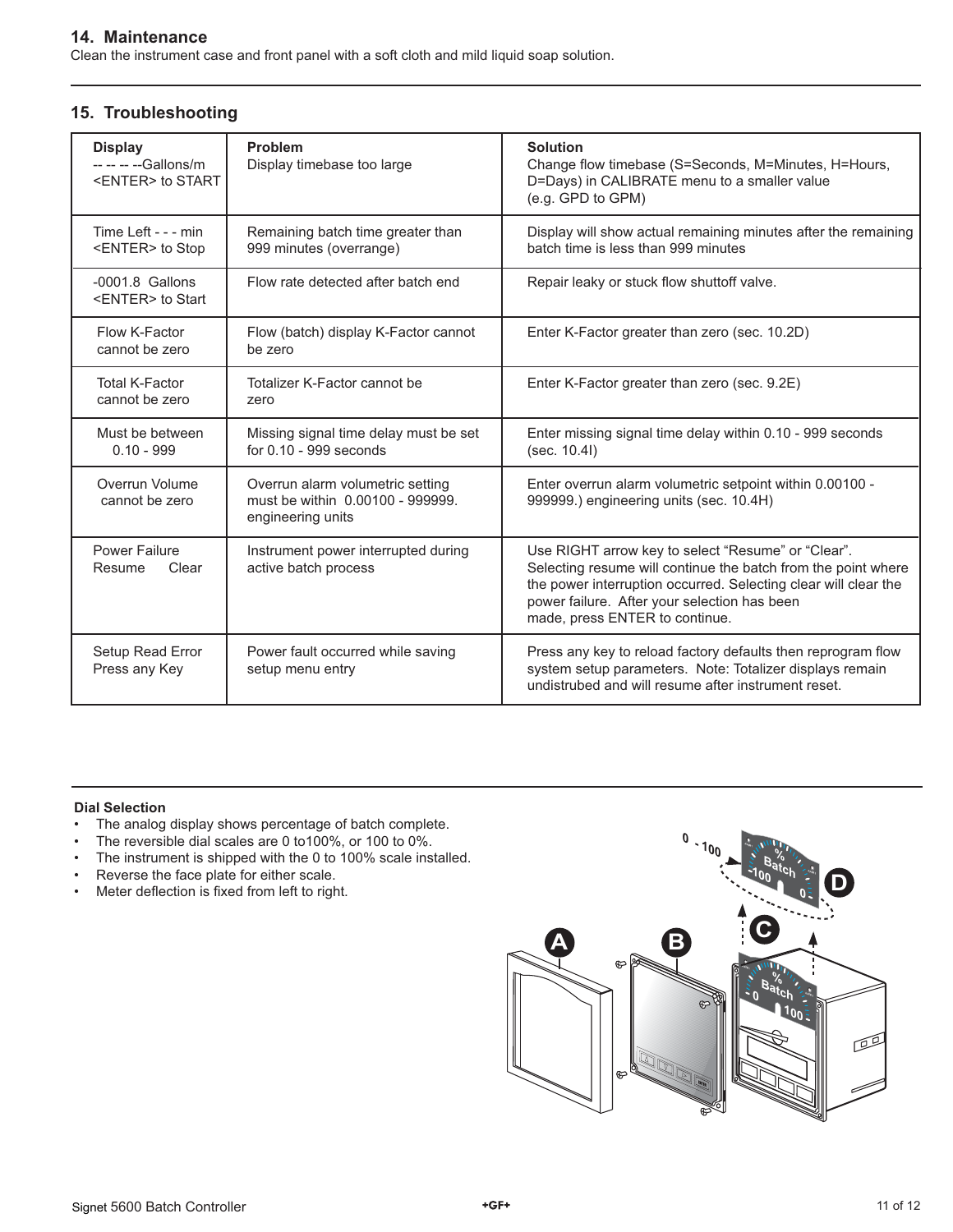### **14. Maintenance**

Clean the instrument case and front panel with a soft cloth and mild liquid soap solution.

| <b>Display</b><br>-- -- -- -- Gallons/m<br><enter> to START</enter> | Problem<br>Display timebase too large                                                     | <b>Solution</b><br>Change flow timebase (S=Seconds, M=Minutes, H=Hours,<br>D=Days) in CALIBRATE menu to a smaller value<br>(e.g. GPD to GPM)                                                                                                                             |
|---------------------------------------------------------------------|-------------------------------------------------------------------------------------------|--------------------------------------------------------------------------------------------------------------------------------------------------------------------------------------------------------------------------------------------------------------------------|
| Time Left - - - min<br><enter> to Stop</enter>                      | Remaining batch time greater than<br>999 minutes (overrange)                              | Display will show actual remaining minutes after the remaining<br>batch time is less than 999 minutes                                                                                                                                                                    |
| $-0001.8$ Gallons<br><enter> to Start</enter>                       | Flow rate detected after batch end                                                        | Repair leaky or stuck flow shuttoff valve.                                                                                                                                                                                                                               |
| Flow K-Factor<br>cannot be zero                                     | Flow (batch) display K-Factor cannot<br>be zero                                           | Enter K-Factor greater than zero (sec. 10.2D)                                                                                                                                                                                                                            |
| <b>Total K-Factor</b><br>cannot be zero                             | Totalizer K-Factor cannot be<br>zero                                                      | Enter K-Factor greater than zero (sec. 9.2E)                                                                                                                                                                                                                             |
| Must be between<br>$0.10 - 999$                                     | Missing signal time delay must be set<br>for $0.10 - 999$ seconds                         | Enter missing signal time delay within 0.10 - 999 seconds<br>(sec. 10.4l)                                                                                                                                                                                                |
| Overrun Volume<br>cannot be zero                                    | Overrun alarm volumetric setting<br>must be within 0.00100 - 999999.<br>engineering units | Enter overrun alarm volumetric setpoint within 0.00100 -<br>999999.) engineering units (sec. 10.4H)                                                                                                                                                                      |
| <b>Power Failure</b><br>Clear<br>Resume                             | Instrument power interrupted during<br>active batch process                               | Use RIGHT arrow key to select "Resume" or "Clear".<br>Selecting resume will continue the batch from the point where<br>the power interruption occurred. Selecting clear will clear the<br>power failure. After your selection has been<br>made, press ENTER to continue. |
| Setup Read Error<br>Press any Key                                   | Power fault occurred while saving<br>setup menu entry                                     | Press any key to reload factory defaults then reprogram flow<br>system setup parameters. Note: Totalizer displays remain<br>undistrubed and will resume after instrument reset.                                                                                          |

### **15. Troubleshooting**

### **Dial Selection**

- The analog display shows percentage of batch complete.
- The reversible dial scales are 0 to100%, or 100 to 0%.
- The instrument is shipped with the 0 to 100% scale installed.
- Reverse the face plate for either scale.
- Meter deflection is fixed from left to right.